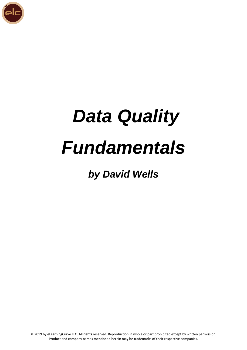

# *Data Quality Fundamentals*

# *by David Wells*

© 2019 by eLearningCurve LLC. All rights reserved. Reproduction in whole or part prohibited except by written permission. Product and company names mentioned herein may be trademarks of their respective companies.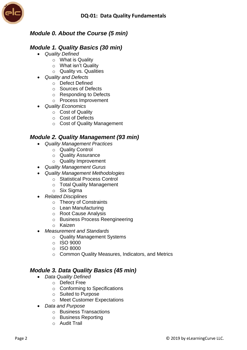



## *Module 0. About the Course (5 min)*

### *Module 1. Quality Basics (30 min)*

- *Quality Defined* 
	- o What is Quality
	- o What isn't Quality
	- o Quality vs. Qualities
- *Quality and Defects* 
	- o Defect Defined
	- o Sources of Defects
	- o Responding to Defects
	- o Process Improvement
- *Quality Economics* 
	- o Cost of Quality
	- o Cost of Defects
	- o Cost of Quality Management

### *Module 2. Quality Management (93 min)*

- *Quality Management Practices*
	- o Quality Control
	- o Quality Assurance
	- o Quality Improvement
- *Quality Management Gurus*
- *Quality Management Methodologies*
	- o Statistical Process Control
	- o Total Quality Management
	- o Six Sigma
- *Related Disciplines*
	- o Theory of Constraints
	- o Lean Manufacturing
	- o Root Cause Analysis
	- o Business Process Reengineering
	- o Kaizen
- *Measurement and Standards*
	- o Quality Management Systems
	- $\circ$  ISO 9000
	- o ISO 8000
	- o Common Quality Measures, Indicators, and Metrics

#### *Module 3. Data Quality Basics (45 min)*

- *Data Quality Defined*
	- o Defect Free
	- o Conforming to Specifications
	- o Suited to Purpose
	- o Meet Customer Expectations
- *Data and Purpose*
	- o Business Transactions
	- o Business Reporting
	- o Audit Trail